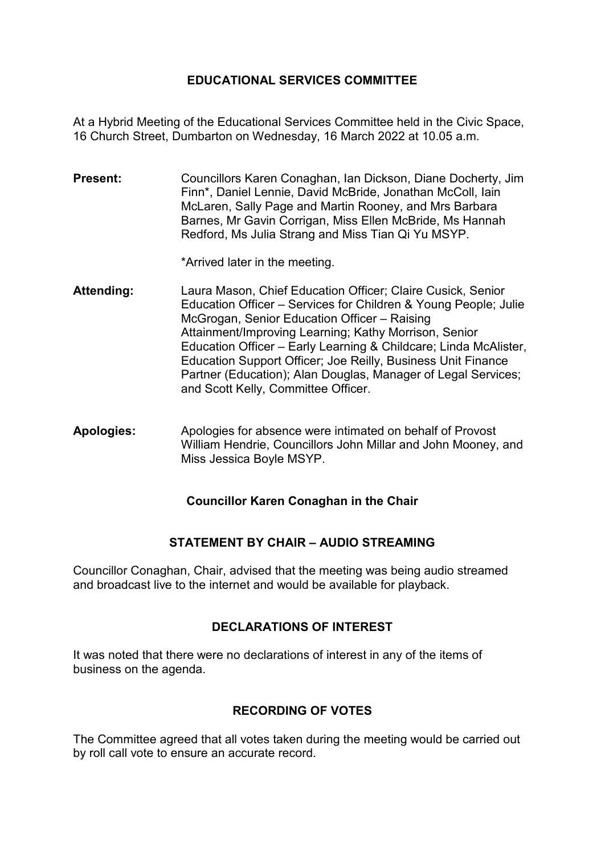## **EDUCATIONAL SERVICES COMMITTEE**

At a Hybrid Meeting of the Educational Services Committee held in the Civic Space, 16 Church Street, Dumbarton on Wednesday, 16 March 2022 at 10.05 a.m.

**Present:** Councillors Karen Conaghan, Ian Dickson, Diane Docherty, Jim Finn\*, Daniel Lennie, David McBride, Jonathan McColl, Iain McLaren, Sally Page and Martin Rooney, and Mrs Barbara Barnes, Mr Gavin Corrigan, Miss Ellen McBride, Ms Hannah Redford, Ms Julia Strang and Miss Tian Qi Yu MSYP.

\*Arrived later in the meeting.

- **Attending:** Laura Mason, Chief Education Officer; Claire Cusick, Senior Education Officer – Services for Children & Young People; Julie McGrogan, Senior Education Officer – Raising Attainment/Improving Learning; Kathy Morrison, Senior Education Officer – Early Learning & Childcare; Linda McAlister, Education Support Officer; Joe Reilly, Business Unit Finance Partner (Education); Alan Douglas, Manager of Legal Services; and Scott Kelly, Committee Officer.
- **Apologies:** Apologies for absence were intimated on behalf of Provost William Hendrie, Councillors John Millar and John Mooney, and Miss Jessica Boyle MSYP.

#### **Councillor Karen Conaghan in the Chair**

# **STATEMENT BY CHAIR – AUDIO STREAMING**

Councillor Conaghan, Chair, advised that the meeting was being audio streamed and broadcast live to the internet and would be available for playback.

#### **DECLARATIONS OF INTEREST**

It was noted that there were no declarations of interest in any of the items of business on the agenda.

# **RECORDING OF VOTES**

The Committee agreed that all votes taken during the meeting would be carried out by roll call vote to ensure an accurate record.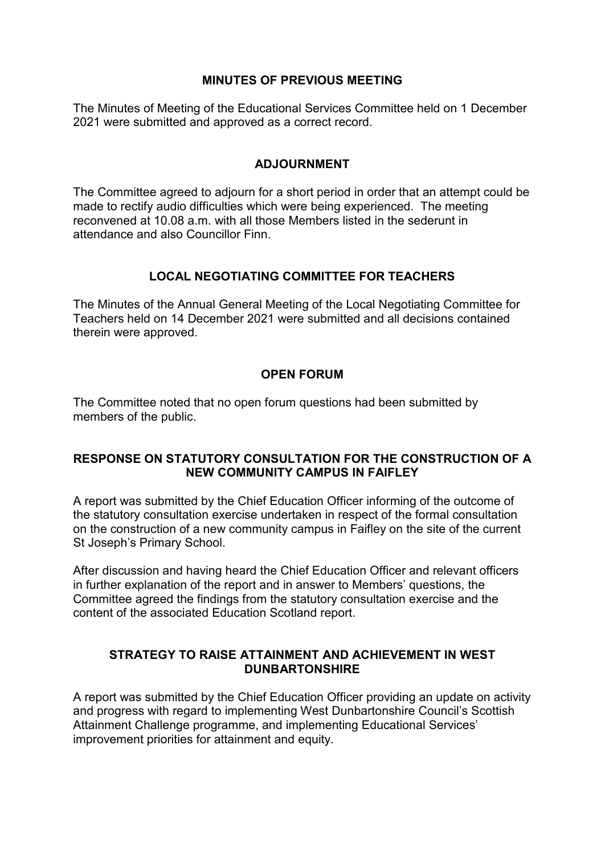### **MINUTES OF PREVIOUS MEETING**

The Minutes of Meeting of the Educational Services Committee held on 1 December 2021 were submitted and approved as a correct record.

### **ADJOURNMENT**

The Committee agreed to adjourn for a short period in order that an attempt could be made to rectify audio difficulties which were being experienced. The meeting reconvened at 10.08 a.m. with all those Members listed in the sederunt in attendance and also Councillor Finn.

# **LOCAL NEGOTIATING COMMITTEE FOR TEACHERS**

The Minutes of the Annual General Meeting of the Local Negotiating Committee for Teachers held on 14 December 2021 were submitted and all decisions contained therein were approved.

## **OPEN FORUM**

The Committee noted that no open forum questions had been submitted by members of the public.

## **RESPONSE ON STATUTORY CONSULTATION FOR THE CONSTRUCTION OF A NEW COMMUNITY CAMPUS IN FAIFLEY**

A report was submitted by the Chief Education Officer informing of the outcome of the statutory consultation exercise undertaken in respect of the formal consultation on the construction of a new community campus in Faifley on the site of the current St Joseph's Primary School.

After discussion and having heard the Chief Education Officer and relevant officers in further explanation of the report and in answer to Members' questions, the Committee agreed the findings from the statutory consultation exercise and the content of the associated Education Scotland report.

#### **STRATEGY TO RAISE ATTAINMENT AND ACHIEVEMENT IN WEST DUNBARTONSHIRE**

A report was submitted by the Chief Education Officer providing an update on activity and progress with regard to implementing West Dunbartonshire Council's Scottish Attainment Challenge programme, and implementing Educational Services' improvement priorities for attainment and equity.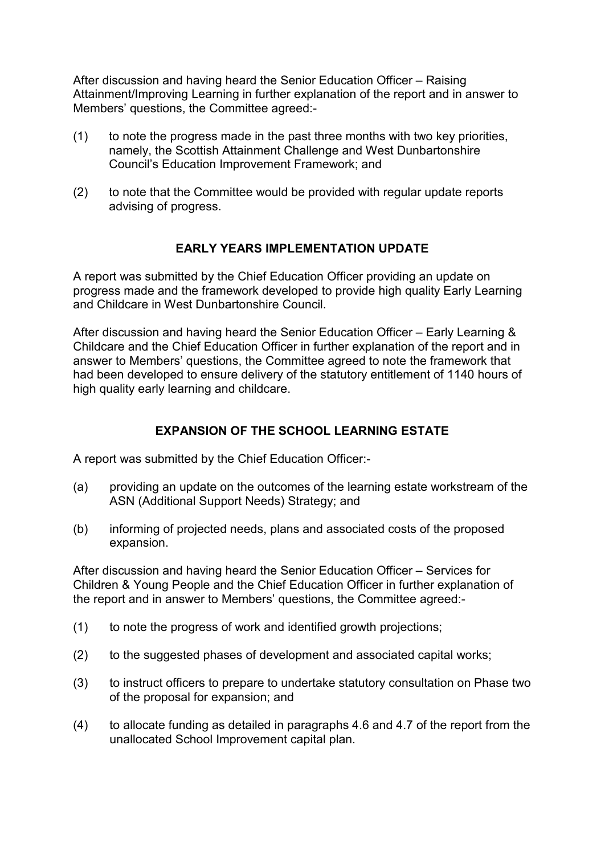After discussion and having heard the Senior Education Officer – Raising Attainment/Improving Learning in further explanation of the report and in answer to Members' questions, the Committee agreed:-

- (1) to note the progress made in the past three months with two key priorities, namely, the Scottish Attainment Challenge and West Dunbartonshire Council's Education Improvement Framework; and
- (2) to note that the Committee would be provided with regular update reports advising of progress.

## **EARLY YEARS IMPLEMENTATION UPDATE**

A report was submitted by the Chief Education Officer providing an update on progress made and the framework developed to provide high quality Early Learning and Childcare in West Dunbartonshire Council.

After discussion and having heard the Senior Education Officer – Early Learning & Childcare and the Chief Education Officer in further explanation of the report and in answer to Members' questions, the Committee agreed to note the framework that had been developed to ensure delivery of the statutory entitlement of 1140 hours of high quality early learning and childcare.

# **EXPANSION OF THE SCHOOL LEARNING ESTATE**

A report was submitted by the Chief Education Officer:-

- (a) providing an update on the outcomes of the learning estate workstream of the ASN (Additional Support Needs) Strategy; and
- (b) informing of projected needs, plans and associated costs of the proposed expansion.

After discussion and having heard the Senior Education Officer – Services for Children & Young People and the Chief Education Officer in further explanation of the report and in answer to Members' questions, the Committee agreed:-

- (1) to note the progress of work and identified growth projections;
- (2) to the suggested phases of development and associated capital works;
- (3) to instruct officers to prepare to undertake statutory consultation on Phase two of the proposal for expansion; and
- (4) to allocate funding as detailed in paragraphs 4.6 and 4.7 of the report from the unallocated School Improvement capital plan.